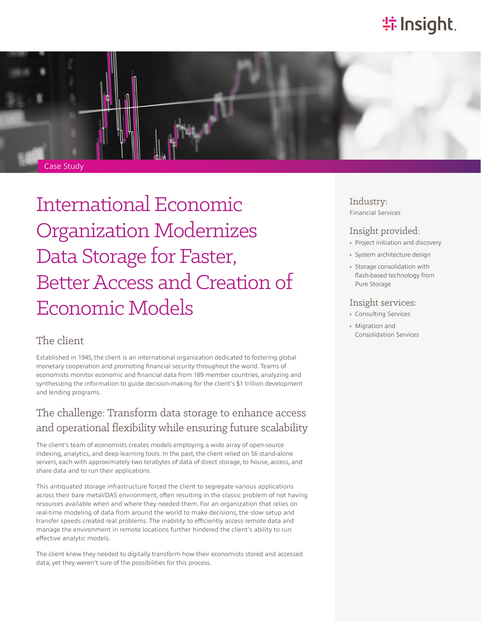# **特 Insight**.



International Economic Organization Modernizes Data Storage for Faster, Better Access and Creation of Economic Models

### The client

Established in 1945, the client is an international organization dedicated to fostering global monetary cooperation and promoting financial security throughout the world. Teams of economists monitor economic and financial data from 189 member countries, analyzing and synthesizing the information to guide decision-making for the client's \$1 trillion development and lending programs.

## The challenge: Transform data storage to enhance access and operational flexibility while ensuring future scalability

The client's team of economists creates models employing a wide array of open-source indexing, analytics, and deep learning tools. In the past, the client relied on 56 stand-alone servers, each with approximately two terabytes of data of direct storage, to house, access, and share data and to run their applications.

This antiquated storage infrastructure forced the client to segregate various applications across their bare metal/DAS environment, often resulting in the classic problem of not having resources available when and where they needed them. For an organization that relies on real-time modeling of data from around the world to make decisions, the slow setup and transfer speeds created real problems. The inability to efficiently access remote data and manage the environment in remote locations further hindered the client's ability to run effective analytic models.

The client knew they needed to digitally transform how their economists stored and accessed data, yet they weren't sure of the possibilities for this process.

Industry: Financial Services

#### Insight provided:

- Project initiation and discovery
- System architecture design
- Storage consolidation with flash-based technology from Pure Storage

#### Insight services:

- Consulting Services
- Migration and Consolidation Services